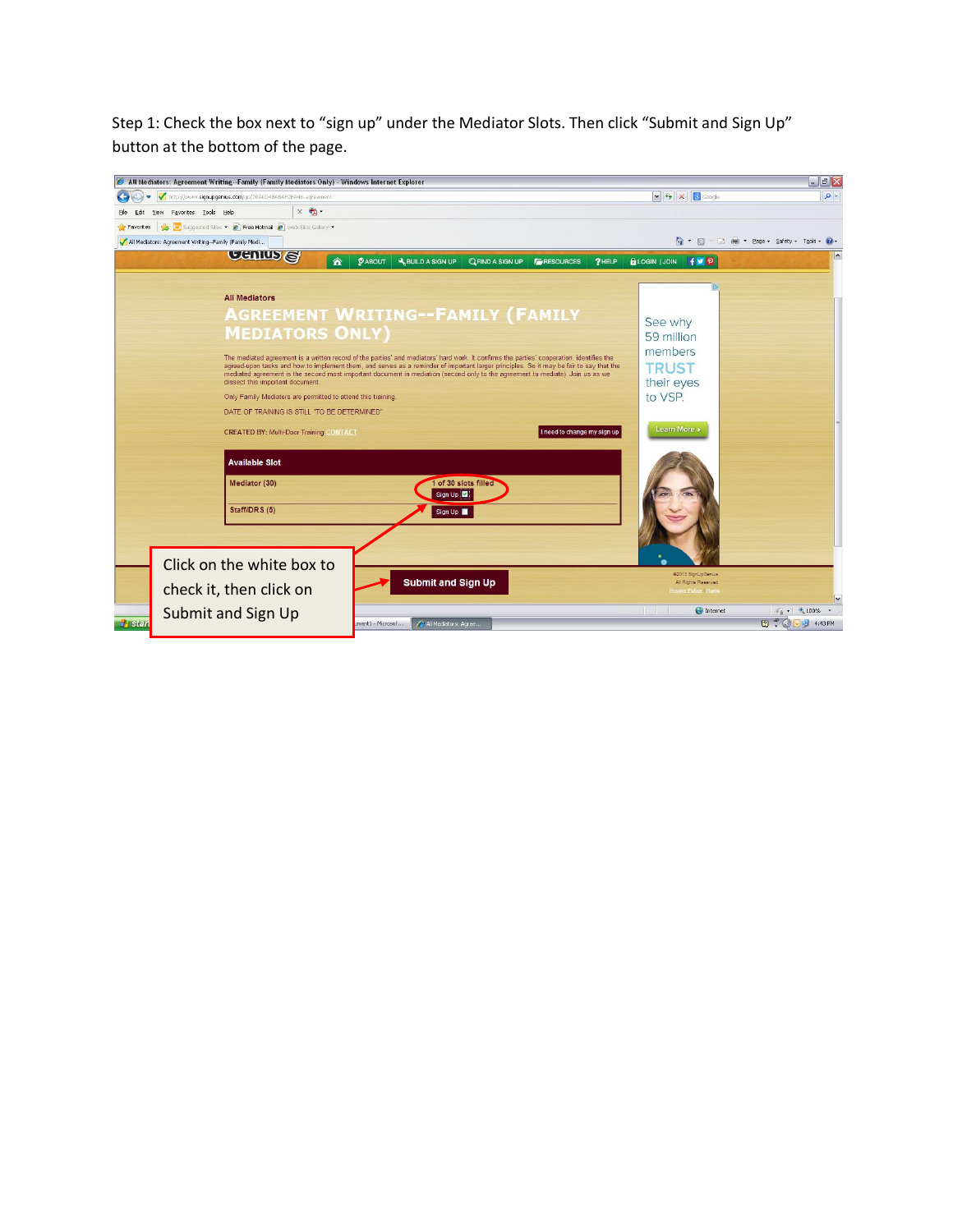Step 1: Check the box next to "sign up" under the Mediator Slots. Then click "Submit and Sign Up" button at the bottom of the page.

|                      | All Mediators: Agreement Writing--Family (Family Mediators Only) - Windows Internet Explorer                                                                                                                                                                              |                                                                                                           |                                                           | $\Box$ a $\times$                         |
|----------------------|---------------------------------------------------------------------------------------------------------------------------------------------------------------------------------------------------------------------------------------------------------------------------|-----------------------------------------------------------------------------------------------------------|-----------------------------------------------------------|-------------------------------------------|
|                      | http://www.signupgenius.com/go/70A0D48ABAF2BA46-agreement                                                                                                                                                                                                                 |                                                                                                           | $\frac{1}{2}$ $\frac{1}{2}$ $\times$ $\frac{1}{2}$ Google | $\rho$ .                                  |
| Edit                 | $x +$<br>View Favorites Lools Help                                                                                                                                                                                                                                        |                                                                                                           |                                                           |                                           |
| Favorites            | Suggested Sites . 2 Free Hotmail 2 Web Slice Gallery .                                                                                                                                                                                                                    |                                                                                                           |                                                           |                                           |
|                      | All Mediators: Agreement Writing--Family (Family Medi                                                                                                                                                                                                                     |                                                                                                           |                                                           | A → 同 - □ 曲 → Page → Safety → Tools → ② - |
|                      | <b>Cenius</b><br>合                                                                                                                                                                                                                                                        | <b><i>GABOUT</i></b><br><b>A BUILD A SIGN UP</b><br><b>QFIND A SIGN UP</b><br><b>F</b> RESOURCES<br>?HELP | <b>QLOGIN JOIN</b> FV P                                   | $\sim$                                    |
|                      | <b>All Mediators</b>                                                                                                                                                                                                                                                      |                                                                                                           |                                                           |                                           |
|                      |                                                                                                                                                                                                                                                                           | <b>AGREEMENT WRITING--FAMILY (FAMILY</b>                                                                  |                                                           |                                           |
|                      |                                                                                                                                                                                                                                                                           | See why                                                                                                   |                                                           |                                           |
|                      | <b>MEDIATORS ONLY)</b>                                                                                                                                                                                                                                                    |                                                                                                           | 59 million                                                |                                           |
|                      | The mediated agreement is a written record of the parties' and mediators' hard work. It confirms the parties' cooperation, identifies the                                                                                                                                 | members                                                                                                   |                                                           |                                           |
|                      | agreed-upon tasks and how to implement them, and serves as a reminder of important larger principles. So it may be fair to say that the<br>mediated agreement is the second most important document in mediation (second only to the agreement to mediate). Join us as we | <b>TRUST</b>                                                                                              |                                                           |                                           |
|                      | dissect this important document                                                                                                                                                                                                                                           |                                                                                                           | their eyes                                                |                                           |
|                      | Only Family Mediators are permitted to attend this training                                                                                                                                                                                                               | to VSP.                                                                                                   |                                                           |                                           |
|                      | DATE OF TRAINING IS STILL "TO BE DETERMINED"                                                                                                                                                                                                                              |                                                                                                           |                                                           |                                           |
|                      | <b>CREATED BY: Multi-Door Training CONTACT</b>                                                                                                                                                                                                                            | Learn More »                                                                                              |                                                           |                                           |
|                      | <b>Available Slot</b>                                                                                                                                                                                                                                                     |                                                                                                           |                                                           |                                           |
|                      | Mediator (30)                                                                                                                                                                                                                                                             |                                                                                                           |                                                           |                                           |
|                      | Staff/DRS (5)                                                                                                                                                                                                                                                             |                                                                                                           |                                                           |                                           |
|                      |                                                                                                                                                                                                                                                                           |                                                                                                           |                                                           |                                           |
|                      | Click on the white box to                                                                                                                                                                                                                                                 |                                                                                                           |                                                           |                                           |
|                      |                                                                                                                                                                                                                                                                           | <b>Submit and Sign Up</b>                                                                                 | @2013 SignUpGenius<br>All Rights Reserved                 |                                           |
|                      | check it, then click on                                                                                                                                                                                                                                                   |                                                                                                           | <b>Privacy Policy Home</b>                                | $\checkmark$                              |
|                      | Submit and Sign Up                                                                                                                                                                                                                                                        |                                                                                                           | <b>O</b> Internet                                         | $\sqrt{a}$ + $\frac{a}{2}$ 100% +         |
| <b><i>d</i></b> stan |                                                                                                                                                                                                                                                                           | All Mediators: Agree<br>ment1 - Microsof                                                                  |                                                           | $7^{\circ}$<br>4:43 PM                    |
|                      |                                                                                                                                                                                                                                                                           |                                                                                                           |                                                           |                                           |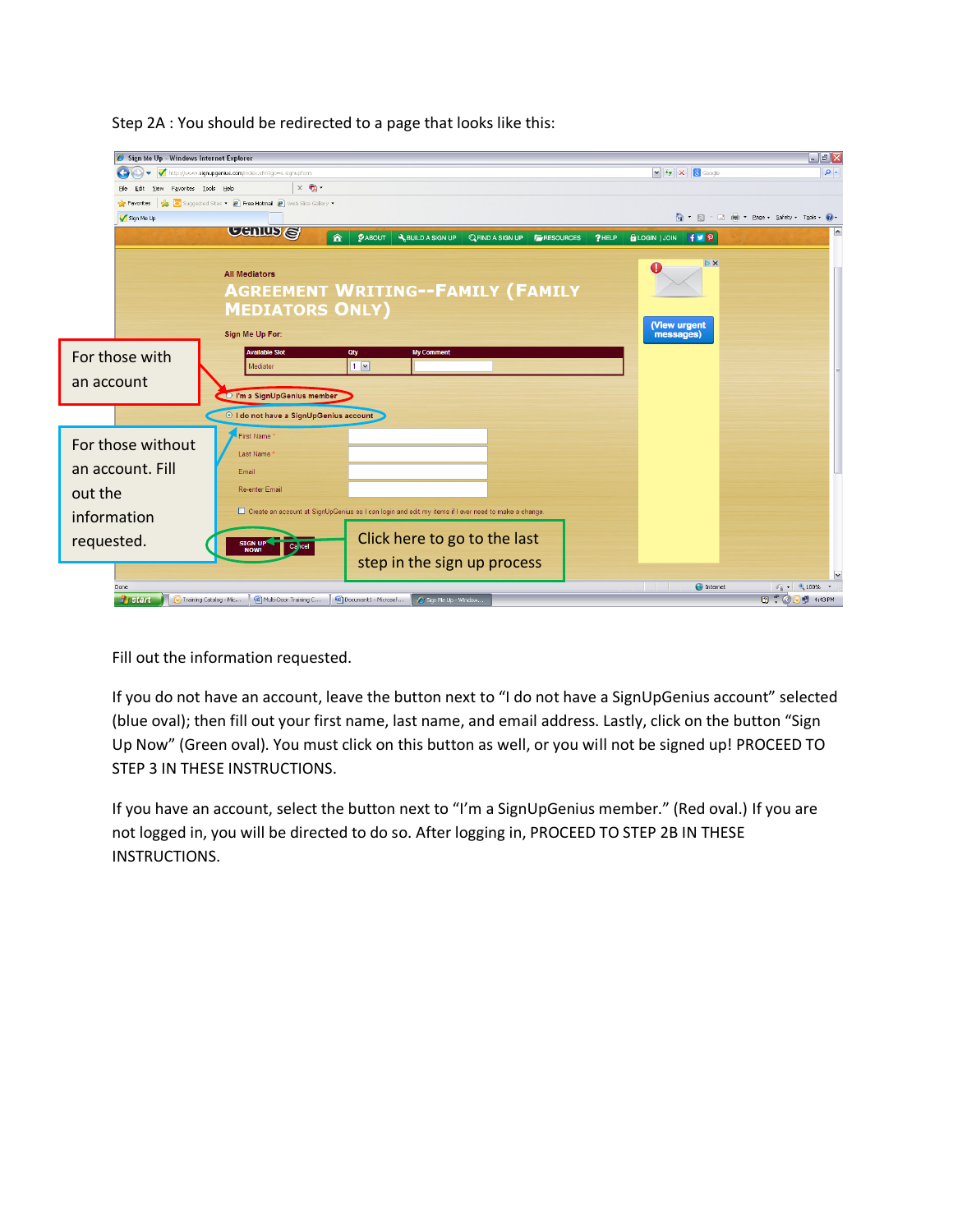| Sign Me Up - Windows Internet Explorer                                                                                                              |                                                                                                               |                                                                                                       |                                            |                                           | $\Box$ a $\mathsf{X}$            |  |  |
|-----------------------------------------------------------------------------------------------------------------------------------------------------|---------------------------------------------------------------------------------------------------------------|-------------------------------------------------------------------------------------------------------|--------------------------------------------|-------------------------------------------|----------------------------------|--|--|
| G)<br>$\leftrightarrow$<br>$\blacktriangledown$                                                                                                     | http://www.signupgenius.com/index.cfm?go=s.signupform                                                         |                                                                                                       |                                            |                                           |                                  |  |  |
| File<br>Edit<br>View                                                                                                                                | $x \oplus$<br>Favorites Tools Help                                                                            |                                                                                                       |                                            |                                           |                                  |  |  |
| Favorites                                                                                                                                           | Suggested Sites . <b>2</b> Free Hotmail <b>2</b> Web Slice Gallery .                                          |                                                                                                       |                                            |                                           |                                  |  |  |
| Sign Me Up                                                                                                                                          |                                                                                                               |                                                                                                       |                                            | <b>合 回 回 曲 Page - Safety - Took - ⊘ -</b> |                                  |  |  |
|                                                                                                                                                     | <b>Cenina</b><br>合                                                                                            | $Q$ ABOUT<br>A BUILD A SIGN UP                                                                        | <b>QFIND A SIGN UP FRESOURCES</b><br>?HELP | <b>QLOGIN   JOIN   FVP</b>                | $\hat{\phantom{a}}$              |  |  |
|                                                                                                                                                     | <b>All Mediators</b><br><b>AGREEMENT WRITING--FAMILY (FAMILY</b><br><b>MEDIATORS ONLY)</b><br>Sign Me Up For: |                                                                                                       |                                            | $D \times$<br>(View urgent<br>messages)   |                                  |  |  |
| For those with                                                                                                                                      | <b>Available Slot</b>                                                                                         | <b>My Comment</b><br>Qty                                                                              |                                            |                                           |                                  |  |  |
|                                                                                                                                                     | Mediator                                                                                                      | $1$ $\triangledown$                                                                                   |                                            |                                           |                                  |  |  |
| an account                                                                                                                                          | Um a SignUpGenius member                                                                                      |                                                                                                       |                                            |                                           |                                  |  |  |
|                                                                                                                                                     |                                                                                                               |                                                                                                       |                                            |                                           |                                  |  |  |
|                                                                                                                                                     | O I do not have a SignUpGenius account                                                                        |                                                                                                       |                                            |                                           |                                  |  |  |
| For those without                                                                                                                                   | First Name                                                                                                    |                                                                                                       |                                            |                                           |                                  |  |  |
| an account. Fill                                                                                                                                    | Last Name                                                                                                     |                                                                                                       |                                            |                                           |                                  |  |  |
|                                                                                                                                                     | Email<br>Re-enter Email                                                                                       |                                                                                                       |                                            |                                           |                                  |  |  |
| out the                                                                                                                                             |                                                                                                               |                                                                                                       |                                            |                                           |                                  |  |  |
| information                                                                                                                                         |                                                                                                               | □ Create an account at SignUpGenius so I can login and edit my items if I ever need to make a change. |                                            |                                           |                                  |  |  |
| requested.                                                                                                                                          | SIGN UP                                                                                                       | Click here to go to the last                                                                          |                                            |                                           |                                  |  |  |
|                                                                                                                                                     | Calcel<br><b>NOW!</b>                                                                                         |                                                                                                       |                                            |                                           |                                  |  |  |
|                                                                                                                                                     |                                                                                                               | step in the sign up process                                                                           |                                            |                                           | $\overline{\phantom{0}}$         |  |  |
| Done.                                                                                                                                               |                                                                                                               |                                                                                                       |                                            | $\bigodot$ Internet                       | $\sqrt{a}$ - $\frac{a}{100\%}$ - |  |  |
| $B^{\bullet}$ $\bullet$<br>Multi-Door Training C<br>Document1 - Microsof<br>V Training Catalog - Mic<br>Sign Me Up - Window<br>4:43 PM<br>$H$ start |                                                                                                               |                                                                                                       |                                            |                                           |                                  |  |  |

Step 2A : You should be redirected to a page that looks like this:

Fill out the information requested.

If you do not have an account, leave the button next to "I do not have a SignUpGenius account" selected (blue oval); then fill out your first name, last name, and email address. Lastly, click on the button "Sign Up Now" (Green oval). You must click on this button as well, or you will not be signed up! PROCEED TO STEP 3 IN THESE INSTRUCTIONS.

If you have an account, select the button next to "I'm a SignUpGenius member." (Red oval.) If you are not logged in, you will be directed to do so. After logging in, PROCEED TO STEP 2B IN THESE INSTRUCTIONS.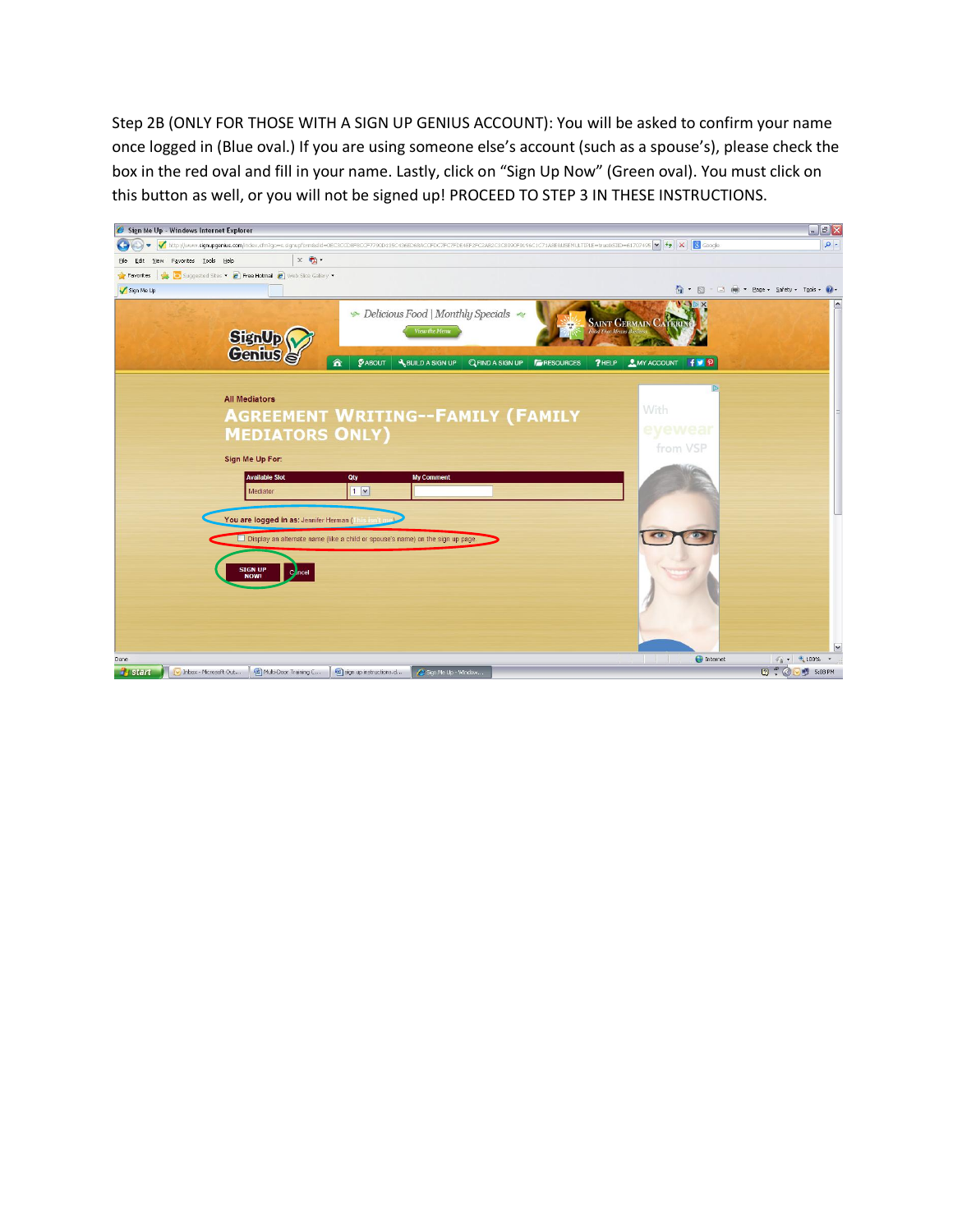Step 2B (ONLY FOR THOSE WITH A SIGN UP GENIUS ACCOUNT): You will be asked to confirm your name once logged in (Blue oval.) If you are using someone else's account (such as a spouse's), please check the box in the red oval and fill in your name. Lastly, click on "Sign Up Now" (Green oval). You must click on this button as well, or you will not be signed up! PROCEED TO STEP 3 IN THESE INSTRUCTIONS.